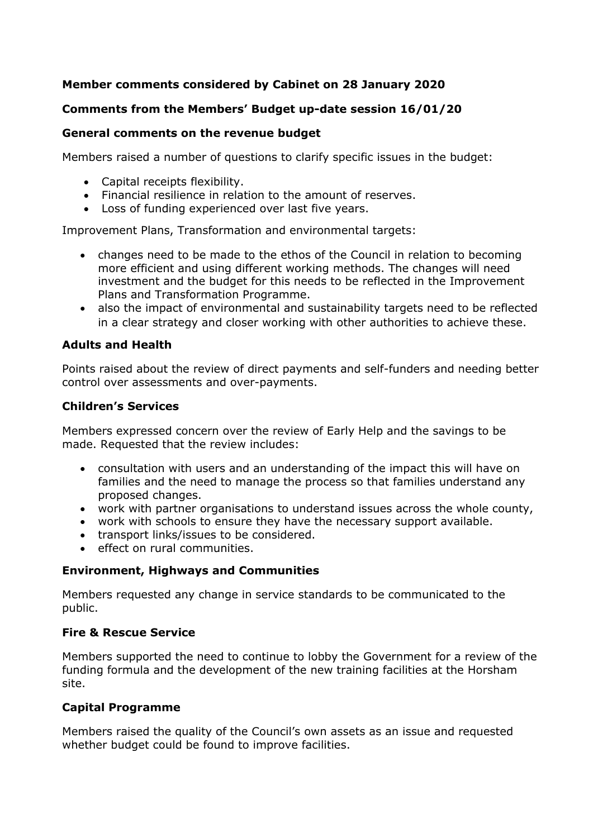# **Member comments considered by Cabinet on 28 January 2020**

## **Comments from the Members' Budget up-date session 16/01/20**

### **General comments on the revenue budget**

Members raised a number of questions to clarify specific issues in the budget:

- Capital receipts flexibility.
- Financial resilience in relation to the amount of reserves.
- Loss of funding experienced over last five years.

Improvement Plans, Transformation and environmental targets:

- changes need to be made to the ethos of the Council in relation to becoming more efficient and using different working methods. The changes will need investment and the budget for this needs to be reflected in the Improvement Plans and Transformation Programme.
- also the impact of environmental and sustainability targets need to be reflected in a clear strategy and closer working with other authorities to achieve these.

### **Adults and Health**

Points raised about the review of direct payments and self-funders and needing better control over assessments and over-payments.

### **Children's Services**

Members expressed concern over the review of Early Help and the savings to be made. Requested that the review includes:

- consultation with users and an understanding of the impact this will have on families and the need to manage the process so that families understand any proposed changes.
- work with partner organisations to understand issues across the whole county,
- work with schools to ensure they have the necessary support available.
- transport links/issues to be considered.
- effect on rural communities.

## **Environment, Highways and Communities**

Members requested any change in service standards to be communicated to the public.

### **Fire & Rescue Service**

Members supported the need to continue to lobby the Government for a review of the funding formula and the development of the new training facilities at the Horsham site.

## **Capital Programme**

Members raised the quality of the Council's own assets as an issue and requested whether budget could be found to improve facilities.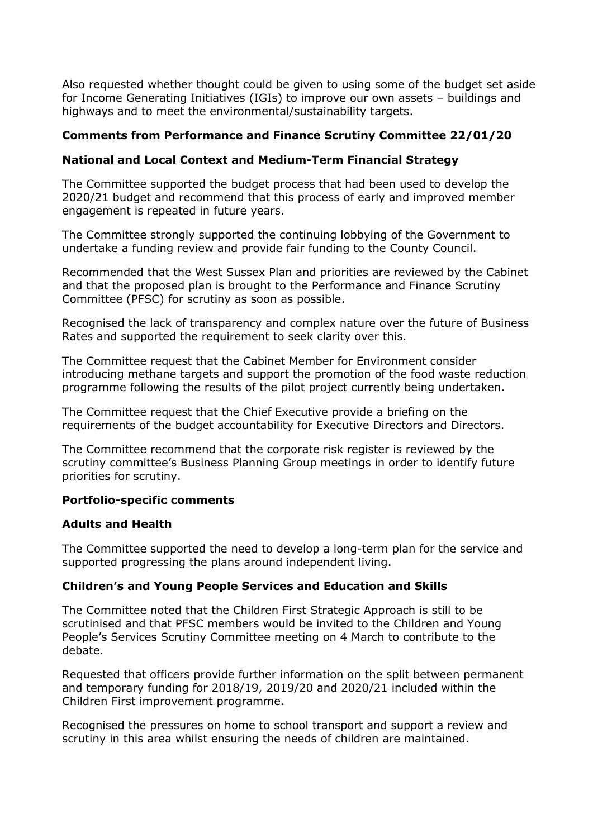Also requested whether thought could be given to using some of the budget set aside for Income Generating Initiatives (IGIs) to improve our own assets – buildings and highways and to meet the environmental/sustainability targets.

# **Comments from Performance and Finance Scrutiny Committee 22/01/20**

## **National and Local Context and Medium-Term Financial Strategy**

The Committee supported the budget process that had been used to develop the 2020/21 budget and recommend that this process of early and improved member engagement is repeated in future years.

The Committee strongly supported the continuing lobbying of the Government to undertake a funding review and provide fair funding to the County Council.

Recommended that the West Sussex Plan and priorities are reviewed by the Cabinet and that the proposed plan is brought to the Performance and Finance Scrutiny Committee (PFSC) for scrutiny as soon as possible.

Recognised the lack of transparency and complex nature over the future of Business Rates and supported the requirement to seek clarity over this.

The Committee request that the Cabinet Member for Environment consider introducing methane targets and support the promotion of the food waste reduction programme following the results of the pilot project currently being undertaken.

The Committee request that the Chief Executive provide a briefing on the requirements of the budget accountability for Executive Directors and Directors.

The Committee recommend that the corporate risk register is reviewed by the scrutiny committee's Business Planning Group meetings in order to identify future priorities for scrutiny.

### **Portfolio-specific comments**

### **Adults and Health**

The Committee supported the need to develop a long-term plan for the service and supported progressing the plans around independent living.

### **Children's and Young People Services and Education and Skills**

The Committee noted that the Children First Strategic Approach is still to be scrutinised and that PFSC members would be invited to the Children and Young People's Services Scrutiny Committee meeting on 4 March to contribute to the debate.

Requested that officers provide further information on the split between permanent and temporary funding for 2018/19, 2019/20 and 2020/21 included within the Children First improvement programme.

Recognised the pressures on home to school transport and support a review and scrutiny in this area whilst ensuring the needs of children are maintained.